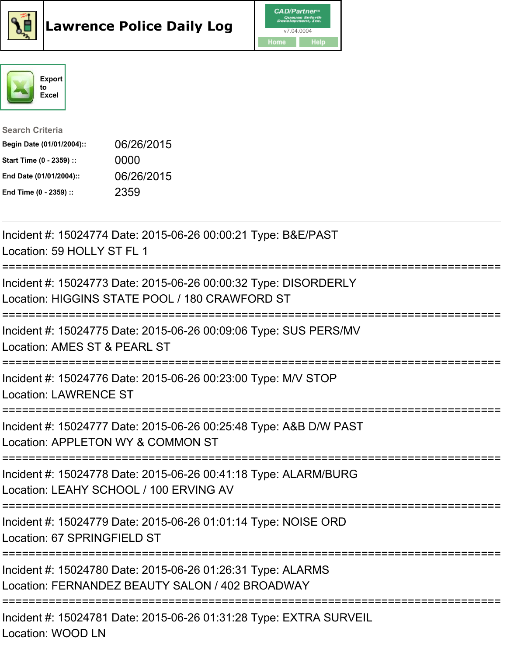



## Search Criteria Begin Date (01/01/2004):: 06/26/2015 Start Time (0 - 2359) :: 0000 End Date (01/01/2004):: 06/26/2015 End Time (0 - 2359) :: 2359

| Incident #: 15024774 Date: 2015-06-26 00:00:21 Type: B&E/PAST<br>Location: 59 HOLLY ST FL 1                                 |
|-----------------------------------------------------------------------------------------------------------------------------|
| Incident #: 15024773 Date: 2015-06-26 00:00:32 Type: DISORDERLY<br>Location: HIGGINS STATE POOL / 180 CRAWFORD ST           |
| Incident #: 15024775 Date: 2015-06-26 00:09:06 Type: SUS PERS/MV<br>Location: AMES ST & PEARL ST<br>----------------------- |
| Incident #: 15024776 Date: 2015-06-26 00:23:00 Type: M/V STOP<br><b>Location: LAWRENCE ST</b>                               |
| Incident #: 15024777 Date: 2015-06-26 00:25:48 Type: A&B D/W PAST<br>Location: APPLETON WY & COMMON ST                      |
| Incident #: 15024778 Date: 2015-06-26 00:41:18 Type: ALARM/BURG<br>Location: LEAHY SCHOOL / 100 ERVING AV                   |
| Incident #: 15024779 Date: 2015-06-26 01:01:14 Type: NOISE ORD<br>Location: 67 SPRINGFIELD ST                               |
| Incident #: 15024780 Date: 2015-06-26 01:26:31 Type: ALARMS<br>Location: FERNANDEZ BEAUTY SALON / 402 BROADWAY              |
| Incident #: 15024781 Date: 2015-06-26 01:31:28 Type: EXTRA SURVEIL<br><b>Location: WOOD LN</b>                              |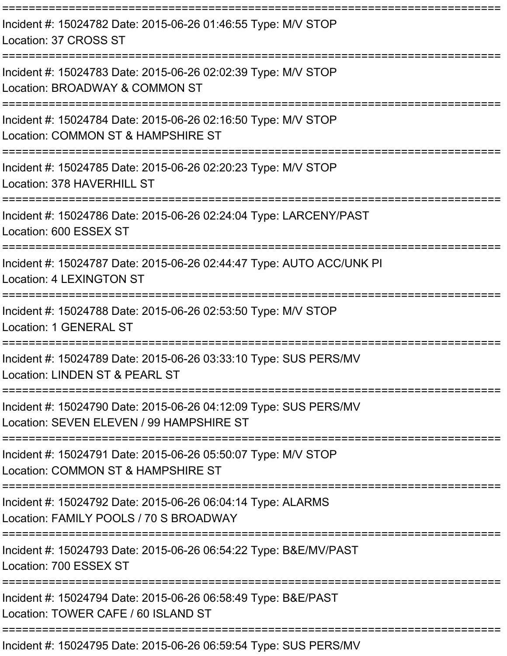| Incident #: 15024782 Date: 2015-06-26 01:46:55 Type: M/V STOP<br>Location: 37 CROSS ST                                    |
|---------------------------------------------------------------------------------------------------------------------------|
| Incident #: 15024783 Date: 2015-06-26 02:02:39 Type: M/V STOP<br>Location: BROADWAY & COMMON ST<br>;===================== |
| Incident #: 15024784 Date: 2015-06-26 02:16:50 Type: M/V STOP<br>Location: COMMON ST & HAMPSHIRE ST                       |
| Incident #: 15024785 Date: 2015-06-26 02:20:23 Type: M/V STOP<br>Location: 378 HAVERHILL ST                               |
| Incident #: 15024786 Date: 2015-06-26 02:24:04 Type: LARCENY/PAST<br>Location: 600 ESSEX ST                               |
| Incident #: 15024787 Date: 2015-06-26 02:44:47 Type: AUTO ACC/UNK PI<br>Location: 4 LEXINGTON ST                          |
| Incident #: 15024788 Date: 2015-06-26 02:53:50 Type: M/V STOP<br>Location: 1 GENERAL ST                                   |
| Incident #: 15024789 Date: 2015-06-26 03:33:10 Type: SUS PERS/MV<br>Location: LINDEN ST & PEARL ST                        |
| Incident #: 15024790 Date: 2015-06-26 04:12:09 Type: SUS PERS/MV<br>Location: SEVEN ELEVEN / 99 HAMPSHIRE ST              |
| Incident #: 15024791 Date: 2015-06-26 05:50:07 Type: M/V STOP<br>Location: COMMON ST & HAMPSHIRE ST                       |
| Incident #: 15024792 Date: 2015-06-26 06:04:14 Type: ALARMS<br>Location: FAMILY POOLS / 70 S BROADWAY                     |
| Incident #: 15024793 Date: 2015-06-26 06:54:22 Type: B&E/MV/PAST<br>Location: 700 ESSEX ST                                |
| Incident #: 15024794 Date: 2015-06-26 06:58:49 Type: B&E/PAST<br>Location: TOWER CAFE / 60 ISLAND ST                      |
| Incident #: 15024795 Date: 2015-06-26 06:59:54 Type: SUS PERS/MV                                                          |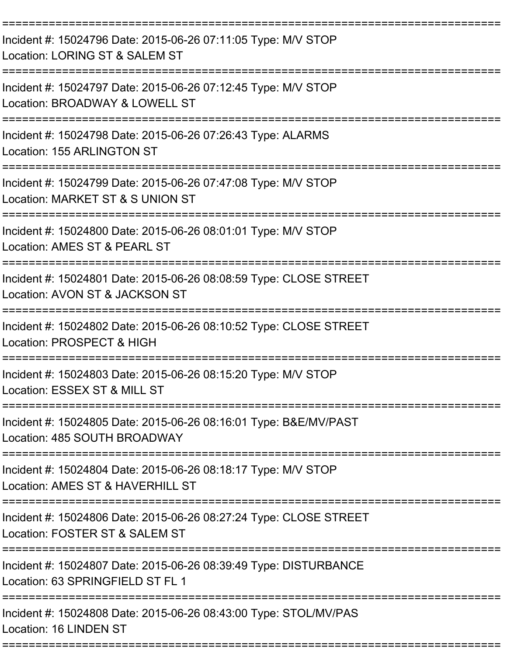| Incident #: 15024796 Date: 2015-06-26 07:11:05 Type: M/V STOP<br>Location: LORING ST & SALEM ST                                        |
|----------------------------------------------------------------------------------------------------------------------------------------|
| Incident #: 15024797 Date: 2015-06-26 07:12:45 Type: M/V STOP<br>Location: BROADWAY & LOWELL ST<br>:===================<br>=========== |
| Incident #: 15024798 Date: 2015-06-26 07:26:43 Type: ALARMS<br>Location: 155 ARLINGTON ST                                              |
| Incident #: 15024799 Date: 2015-06-26 07:47:08 Type: M/V STOP<br>Location: MARKET ST & S UNION ST                                      |
| Incident #: 15024800 Date: 2015-06-26 08:01:01 Type: M/V STOP<br>Location: AMES ST & PEARL ST                                          |
| Incident #: 15024801 Date: 2015-06-26 08:08:59 Type: CLOSE STREET<br>Location: AVON ST & JACKSON ST                                    |
| Incident #: 15024802 Date: 2015-06-26 08:10:52 Type: CLOSE STREET<br>Location: PROSPECT & HIGH                                         |
| Incident #: 15024803 Date: 2015-06-26 08:15:20 Type: M/V STOP<br>Location: ESSEX ST & MILL ST                                          |
| Incident #: 15024805 Date: 2015-06-26 08:16:01 Type: B&E/MV/PAST<br>Location: 485 SOUTH BROADWAY                                       |
| Incident #: 15024804 Date: 2015-06-26 08:18:17 Type: M/V STOP<br>Location: AMES ST & HAVERHILL ST                                      |
| Incident #: 15024806 Date: 2015-06-26 08:27:24 Type: CLOSE STREET<br>Location: FOSTER ST & SALEM ST                                    |
| Incident #: 15024807 Date: 2015-06-26 08:39:49 Type: DISTURBANCE<br>Location: 63 SPRINGFIELD ST FL 1                                   |
| Incident #: 15024808 Date: 2015-06-26 08:43:00 Type: STOL/MV/PAS<br>Location: 16 LINDEN ST                                             |
|                                                                                                                                        |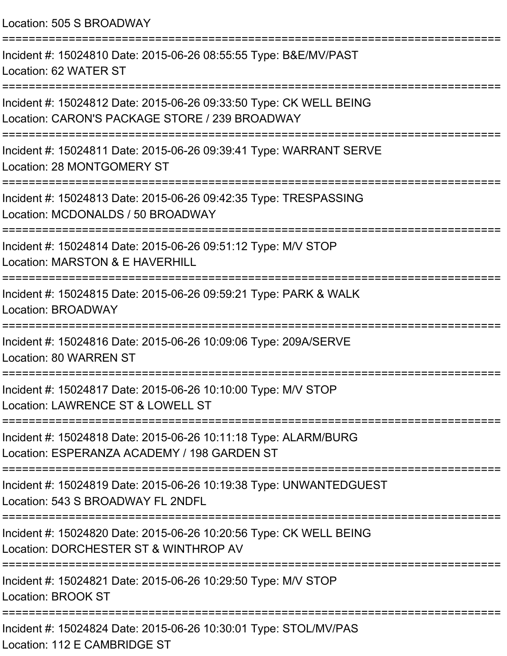Location: 505 S BROADWAY =========================================================================== Incident #: 15024810 Date: 2015-06-26 08:55:55 Type: B&E/MV/PAST Location: 62 WATER ST =========================================================================== Incident #: 15024812 Date: 2015-06-26 09:33:50 Type: CK WELL BEING Location: CARON'S PACKAGE STORE / 239 BROADWAY =========================================================================== Incident #: 15024811 Date: 2015-06-26 09:39:41 Type: WARRANT SERVE Location: 28 MONTGOMERY ST =========================================================================== Incident #: 15024813 Date: 2015-06-26 09:42:35 Type: TRESPASSING Location: MCDONALDS / 50 BROADWAY =========================================================================== Incident #: 15024814 Date: 2015-06-26 09:51:12 Type: M/V STOP Location: MARSTON & F HAVERHILL =========================================================================== Incident #: 15024815 Date: 2015-06-26 09:59:21 Type: PARK & WALK Location: BROADWAY =========================================================================== Incident #: 15024816 Date: 2015-06-26 10:09:06 Type: 209A/SERVE Location: 80 WARREN ST =========================================================================== Incident #: 15024817 Date: 2015-06-26 10:10:00 Type: M/V STOP Location: LAWRENCE ST & LOWELL ST =========================================================================== Incident #: 15024818 Date: 2015-06-26 10:11:18 Type: ALARM/BURG Location: ESPERANZA ACADEMY / 198 GARDEN ST =========================================================================== Incident #: 15024819 Date: 2015-06-26 10:19:38 Type: UNWANTEDGUEST Location: 543 S BROADWAY FL 2NDFL =========================================================================== Incident #: 15024820 Date: 2015-06-26 10:20:56 Type: CK WELL BEING Location: DORCHESTER ST & WINTHROP AV =========================================================================== Incident #: 15024821 Date: 2015-06-26 10:29:50 Type: M/V STOP Location: BROOK ST =========================================================================== Incident #: 15024824 Date: 2015-06-26 10:30:01 Type: STOL/MV/PAS Location: 112 E CAMBRIDGE ST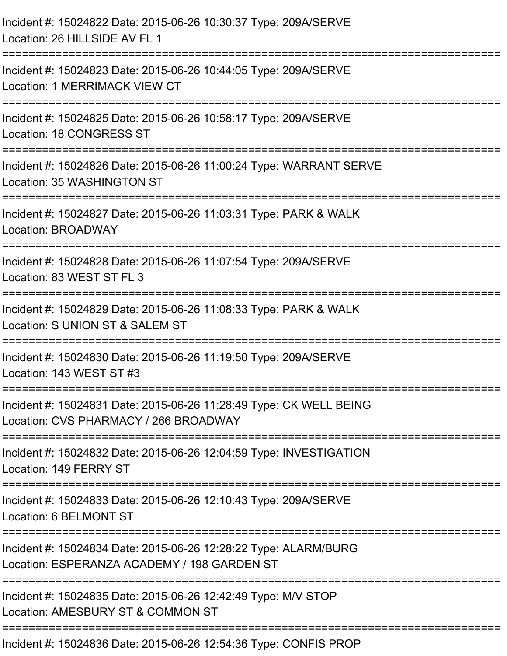| Incident #: 15024822 Date: 2015-06-26 10:30:37 Type: 209A/SERVE<br>Location: 26 HILLSIDE AV FL 1                                      |
|---------------------------------------------------------------------------------------------------------------------------------------|
| Incident #: 15024823 Date: 2015-06-26 10:44:05 Type: 209A/SERVE<br>Location: 1 MERRIMACK VIEW CT                                      |
| Incident #: 15024825 Date: 2015-06-26 10:58:17 Type: 209A/SERVE<br>Location: 18 CONGRESS ST                                           |
| Incident #: 15024826 Date: 2015-06-26 11:00:24 Type: WARRANT SERVE<br>Location: 35 WASHINGTON ST                                      |
| Incident #: 15024827 Date: 2015-06-26 11:03:31 Type: PARK & WALK<br><b>Location: BROADWAY</b>                                         |
| Incident #: 15024828 Date: 2015-06-26 11:07:54 Type: 209A/SERVE<br>Location: 83 WEST ST FL 3                                          |
| Incident #: 15024829 Date: 2015-06-26 11:08:33 Type: PARK & WALK<br>Location: S UNION ST & SALEM ST                                   |
| Incident #: 15024830 Date: 2015-06-26 11:19:50 Type: 209A/SERVE<br>Location: 143 WEST ST #3                                           |
| Incident #: 15024831 Date: 2015-06-26 11:28:49 Type: CK WELL BEING<br>Location: CVS PHARMACY / 266 BROADWAY                           |
| -------------------------------------<br>Incident #: 15024832 Date: 2015-06-26 12:04:59 Type: INVESTIGATION<br>Location: 149 FERRY ST |
| Incident #: 15024833 Date: 2015-06-26 12:10:43 Type: 209A/SERVE<br>Location: 6 BELMONT ST                                             |
| Incident #: 15024834 Date: 2015-06-26 12:28:22 Type: ALARM/BURG<br>Location: ESPERANZA ACADEMY / 198 GARDEN ST                        |
| Incident #: 15024835 Date: 2015-06-26 12:42:49 Type: M/V STOP<br>Location: AMESBURY ST & COMMON ST                                    |
| Incident #: 15024836 Date: 2015-06-26 12:54:36 Type: CONFIS PROP                                                                      |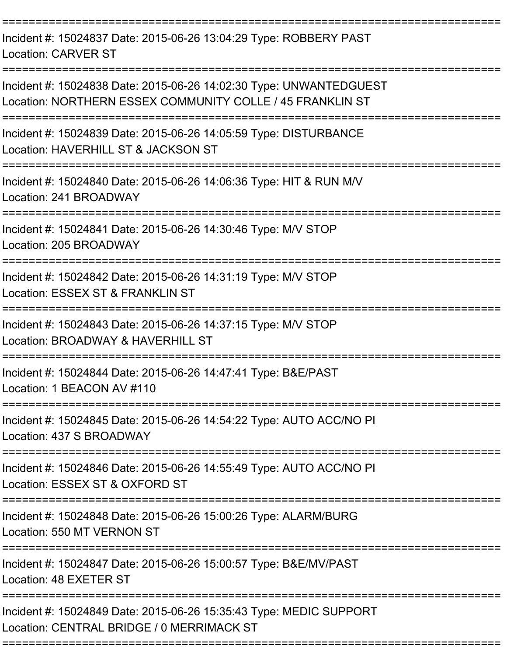| Incident #: 15024837 Date: 2015-06-26 13:04:29 Type: ROBBERY PAST<br>Location: CARVER ST                                        |
|---------------------------------------------------------------------------------------------------------------------------------|
| Incident #: 15024838 Date: 2015-06-26 14:02:30 Type: UNWANTEDGUEST<br>Location: NORTHERN ESSEX COMMUNITY COLLE / 45 FRANKLIN ST |
| Incident #: 15024839 Date: 2015-06-26 14:05:59 Type: DISTURBANCE<br>Location: HAVERHILL ST & JACKSON ST                         |
| Incident #: 15024840 Date: 2015-06-26 14:06:36 Type: HIT & RUN M/V<br>Location: 241 BROADWAY                                    |
| Incident #: 15024841 Date: 2015-06-26 14:30:46 Type: M/V STOP<br>Location: 205 BROADWAY                                         |
| Incident #: 15024842 Date: 2015-06-26 14:31:19 Type: M/V STOP<br>Location: ESSEX ST & FRANKLIN ST                               |
| Incident #: 15024843 Date: 2015-06-26 14:37:15 Type: M/V STOP<br>Location: BROADWAY & HAVERHILL ST                              |
| Incident #: 15024844 Date: 2015-06-26 14:47:41 Type: B&E/PAST<br>Location: 1 BEACON AV #110                                     |
| Incident #: 15024845 Date: 2015-06-26 14:54:22 Type: AUTO ACC/NO PI<br>Location: 437 S BROADWAY                                 |
| Incident #: 15024846 Date: 2015-06-26 14:55:49 Type: AUTO ACC/NO PI<br>Location: ESSEX ST & OXFORD ST                           |
| Incident #: 15024848 Date: 2015-06-26 15:00:26 Type: ALARM/BURG<br>Location: 550 MT VERNON ST                                   |
| Incident #: 15024847 Date: 2015-06-26 15:00:57 Type: B&E/MV/PAST<br>Location: 48 EXETER ST                                      |
| ===========<br>Incident #: 15024849 Date: 2015-06-26 15:35:43 Type: MEDIC SUPPORT<br>Location: CENTRAL BRIDGE / 0 MERRIMACK ST  |
|                                                                                                                                 |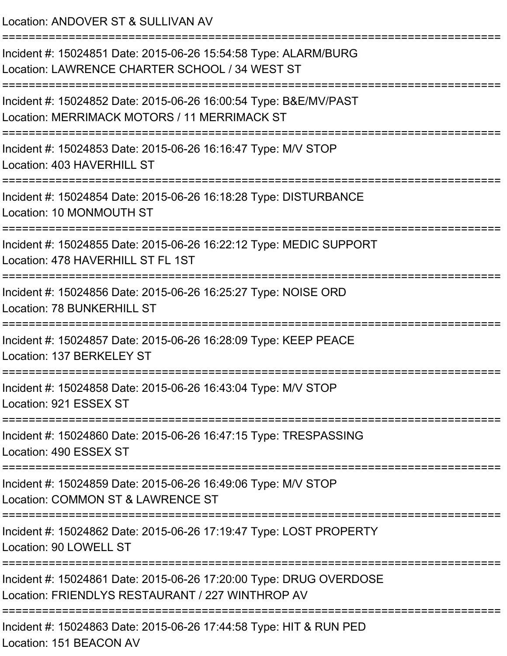Location: ANDOVER ST & SULLIVAN AV

| Incident #: 15024851 Date: 2015-06-26 15:54:58 Type: ALARM/BURG<br>Location: LAWRENCE CHARTER SCHOOL / 34 WEST ST                              |
|------------------------------------------------------------------------------------------------------------------------------------------------|
| Incident #: 15024852 Date: 2015-06-26 16:00:54 Type: B&E/MV/PAST<br>Location: MERRIMACK MOTORS / 11 MERRIMACK ST<br>========================== |
| Incident #: 15024853 Date: 2015-06-26 16:16:47 Type: M/V STOP<br>Location: 403 HAVERHILL ST                                                    |
| Incident #: 15024854 Date: 2015-06-26 16:18:28 Type: DISTURBANCE<br>Location: 10 MONMOUTH ST                                                   |
| Incident #: 15024855 Date: 2015-06-26 16:22:12 Type: MEDIC SUPPORT<br>Location: 478 HAVERHILL ST FL 1ST                                        |
| Incident #: 15024856 Date: 2015-06-26 16:25:27 Type: NOISE ORD<br><b>Location: 78 BUNKERHILL ST</b>                                            |
| Incident #: 15024857 Date: 2015-06-26 16:28:09 Type: KEEP PEACE<br>Location: 137 BERKELEY ST                                                   |
| ===============<br>Incident #: 15024858 Date: 2015-06-26 16:43:04 Type: M/V STOP<br>Location: 921 ESSEX ST                                     |
| Incident #: 15024860 Date: 2015-06-26 16:47:15 Type: TRESPASSING<br>Location: 490 ESSEX ST                                                     |
| Incident #: 15024859 Date: 2015-06-26 16:49:06 Type: M/V STOP<br>Location: COMMON ST & LAWRENCE ST                                             |
| Incident #: 15024862 Date: 2015-06-26 17:19:47 Type: LOST PROPERTY<br>Location: 90 LOWELL ST                                                   |
| Incident #: 15024861 Date: 2015-06-26 17:20:00 Type: DRUG OVERDOSE<br>Location: FRIENDLYS RESTAURANT / 227 WINTHROP AV                         |
| Incident #: 15024863 Date: 2015-06-26 17:44:58 Type: HIT & RUN PED<br>Location: 151 BEACON AV                                                  |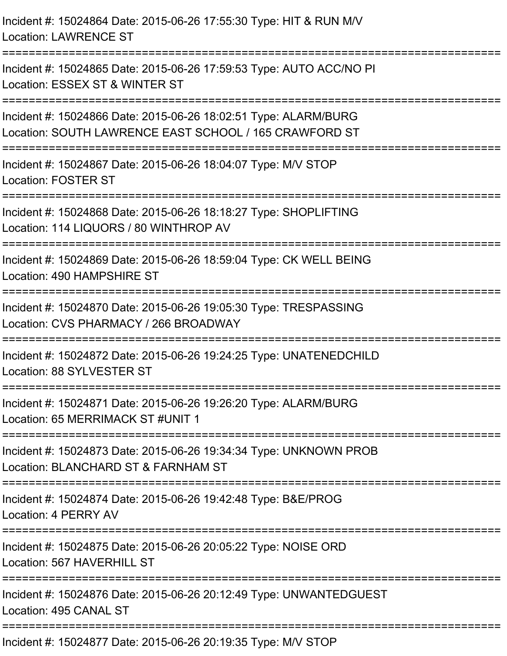| Incident #: 15024864 Date: 2015-06-26 17:55:30 Type: HIT & RUN M/V<br><b>Location: LAWRENCE ST</b>                        |
|---------------------------------------------------------------------------------------------------------------------------|
| Incident #: 15024865 Date: 2015-06-26 17:59:53 Type: AUTO ACC/NO PI<br>Location: ESSEX ST & WINTER ST                     |
| Incident #: 15024866 Date: 2015-06-26 18:02:51 Type: ALARM/BURG<br>Location: SOUTH LAWRENCE EAST SCHOOL / 165 CRAWFORD ST |
| Incident #: 15024867 Date: 2015-06-26 18:04:07 Type: M/V STOP<br><b>Location: FOSTER ST</b>                               |
| Incident #: 15024868 Date: 2015-06-26 18:18:27 Type: SHOPLIFTING<br>Location: 114 LIQUORS / 80 WINTHROP AV                |
| Incident #: 15024869 Date: 2015-06-26 18:59:04 Type: CK WELL BEING<br>Location: 490 HAMPSHIRE ST<br>====================  |
| Incident #: 15024870 Date: 2015-06-26 19:05:30 Type: TRESPASSING<br>Location: CVS PHARMACY / 266 BROADWAY                 |
| Incident #: 15024872 Date: 2015-06-26 19:24:25 Type: UNATENEDCHILD<br>Location: 88 SYLVESTER ST                           |
| Incident #: 15024871 Date: 2015-06-26 19:26:20 Type: ALARM/BURG<br>Location: 65 MERRIMACK ST #UNIT 1                      |
| Incident #: 15024873 Date: 2015-06-26 19:34:34 Type: UNKNOWN PROB<br>Location: BLANCHARD ST & FARNHAM ST                  |
| Incident #: 15024874 Date: 2015-06-26 19:42:48 Type: B&E/PROG<br>Location: 4 PERRY AV                                     |
| Incident #: 15024875 Date: 2015-06-26 20:05:22 Type: NOISE ORD<br>Location: 567 HAVERHILL ST                              |
| Incident #: 15024876 Date: 2015-06-26 20:12:49 Type: UNWANTEDGUEST<br>Location: 495 CANAL ST                              |
| Incident #: 15024877 Date: 2015-06-26 20:19:35 Type: M/V STOP                                                             |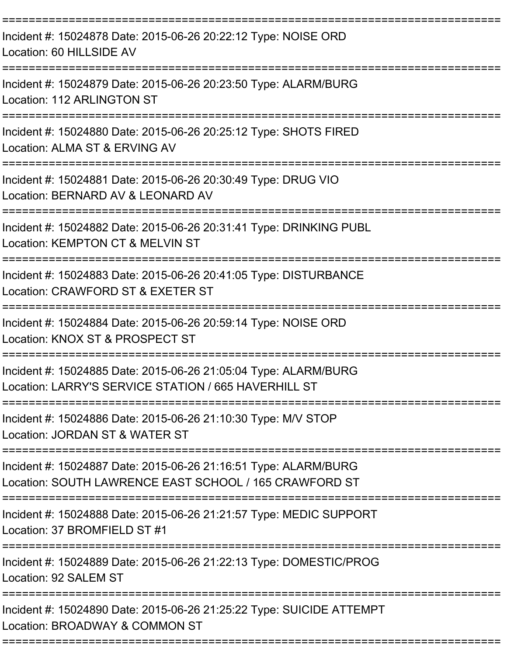| Incident #: 15024878 Date: 2015-06-26 20:22:12 Type: NOISE ORD<br>Location: 60 HILLSIDE AV                                |
|---------------------------------------------------------------------------------------------------------------------------|
| Incident #: 15024879 Date: 2015-06-26 20:23:50 Type: ALARM/BURG<br>Location: 112 ARLINGTON ST                             |
| Incident #: 15024880 Date: 2015-06-26 20:25:12 Type: SHOTS FIRED<br>Location: ALMA ST & ERVING AV                         |
| Incident #: 15024881 Date: 2015-06-26 20:30:49 Type: DRUG VIO<br>Location: BERNARD AV & LEONARD AV                        |
| Incident #: 15024882 Date: 2015-06-26 20:31:41 Type: DRINKING PUBL<br>Location: KEMPTON CT & MELVIN ST                    |
| Incident #: 15024883 Date: 2015-06-26 20:41:05 Type: DISTURBANCE<br>Location: CRAWFORD ST & EXETER ST                     |
| Incident #: 15024884 Date: 2015-06-26 20:59:14 Type: NOISE ORD<br>Location: KNOX ST & PROSPECT ST                         |
| Incident #: 15024885 Date: 2015-06-26 21:05:04 Type: ALARM/BURG<br>Location: LARRY'S SERVICE STATION / 665 HAVERHILL ST   |
| Incident #: 15024886 Date: 2015-06-26 21:10:30 Type: M/V STOP<br>Location: JORDAN ST & WATER ST                           |
| Incident #: 15024887 Date: 2015-06-26 21:16:51 Type: ALARM/BURG<br>Location: SOUTH LAWRENCE EAST SCHOOL / 165 CRAWFORD ST |
| ==================<br>Incident #: 15024888 Date: 2015-06-26 21:21:57 Type: MEDIC SUPPORT<br>Location: 37 BROMFIELD ST #1  |
| Incident #: 15024889 Date: 2015-06-26 21:22:13 Type: DOMESTIC/PROG<br>Location: 92 SALEM ST                               |
| Incident #: 15024890 Date: 2015-06-26 21:25:22 Type: SUICIDE ATTEMPT<br>Location: BROADWAY & COMMON ST                    |
|                                                                                                                           |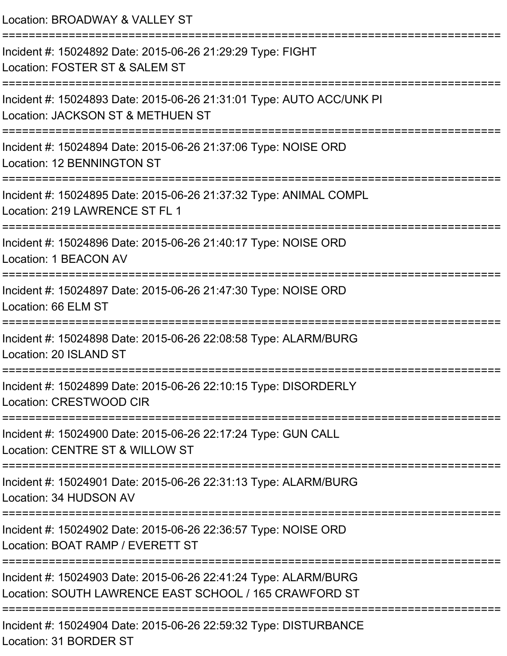| Location: BROADWAY & VALLEY ST                                                                                                  |
|---------------------------------------------------------------------------------------------------------------------------------|
| Incident #: 15024892 Date: 2015-06-26 21:29:29 Type: FIGHT<br>Location: FOSTER ST & SALEM ST                                    |
| Incident #: 15024893 Date: 2015-06-26 21:31:01 Type: AUTO ACC/UNK PI<br>Location: JACKSON ST & METHUEN ST<br>================== |
| Incident #: 15024894 Date: 2015-06-26 21:37:06 Type: NOISE ORD<br>Location: 12 BENNINGTON ST                                    |
| Incident #: 15024895 Date: 2015-06-26 21:37:32 Type: ANIMAL COMPL<br>Location: 219 LAWRENCE ST FL 1                             |
| Incident #: 15024896 Date: 2015-06-26 21:40:17 Type: NOISE ORD<br>Location: 1 BEACON AV                                         |
| Incident #: 15024897 Date: 2015-06-26 21:47:30 Type: NOISE ORD<br>Location: 66 ELM ST                                           |
| Incident #: 15024898 Date: 2015-06-26 22:08:58 Type: ALARM/BURG<br>Location: 20 ISLAND ST                                       |
| Incident #: 15024899 Date: 2015-06-26 22:10:15 Type: DISORDERLY<br>Location: CRESTWOOD CIR                                      |
| Incident #: 15024900 Date: 2015-06-26 22:17:24 Type: GUN CALL<br>Location: CENTRE ST & WILLOW ST                                |
| Incident #: 15024901 Date: 2015-06-26 22:31:13 Type: ALARM/BURG<br>Location: 34 HUDSON AV                                       |
| Incident #: 15024902 Date: 2015-06-26 22:36:57 Type: NOISE ORD<br>Location: BOAT RAMP / EVERETT ST                              |
| Incident #: 15024903 Date: 2015-06-26 22:41:24 Type: ALARM/BURG<br>Location: SOUTH LAWRENCE EAST SCHOOL / 165 CRAWFORD ST       |
| Incident #: 15024904 Date: 2015-06-26 22:59:32 Type: DISTURBANCE<br>Location: 31 BORDER ST                                      |